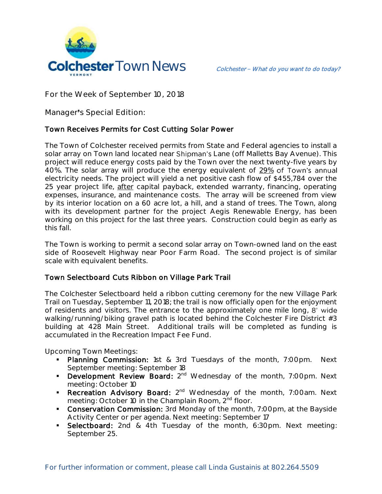

**For the Week of September 10, 2018**

**Manager s Special Edition:** 

## Town Receives Permits for Cost Cutting Solar Power

The Town of Colchester received permits from State and Federal agencies to install a solar array on Town land located near Shipman's Lane (off Malletts Bay Avenue). This project will reduce energy costs paid by the Town over the next twenty-five years by 40%. The solar array will produce the energy equivalent of 29% of Town's annual electricity needs. The project will yield a net positive cash flow of \$455,784 over the 25 year project life, after capital payback, extended warranty, financing, operating expenses, insurance, and maintenance costs. The array will be screened from view by its interior location on a 60 acre lot, a hill, and a stand of trees. The Town, along with its development partner for the project Aegis Renewable Energy, has been working on this project for the last three years. Construction could begin as early as this fall.

The Town is working to permit a second solar array on Town-owned land on the east side of Roosevelt Highway near Poor Farm Road. The second project is of similar scale with equivalent benefits.

## Town Selectboard Cuts Ribbon on Village Park Trail

The Colchester Selectboard held a ribbon cutting ceremony for the new Village Park Trail on Tuesday, September 11, 2018; the trail is now officially open for the enjoyment of residents and visitors. The entrance to the approximately one mile long, 8' wide walking/running/biking gravel path is located behind the Colchester Fire District #3 building at 428 Main Street. Additional trails will be completed as funding is accumulated in the Recreation Impact Fee Fund.

**Upcoming Town Meetings:** 

- Planning Commission: 1st & 3rd Tuesdays of the month, 7:00pm. Next September meeting: September 18
- **Development Review Board:** 2<sup>nd</sup> Wednesday of the month, 7:00pm. Next meeting: October 10
- Recreation Advisory Board: 2<sup>nd</sup> Wednesday of the month, 7:00am. Next meeting: October 10 in the Champlain Room, 2<sup>nd</sup> floor.
- **Conservation Commission:** 3rd Monday of the month, 7:00pm, at the Bayside Activity Center or per agenda. Next meeting: September 17
- **Selectboard:** 2nd & 4th Tuesday of the month, 6:30pm. Next meeting: September 25.